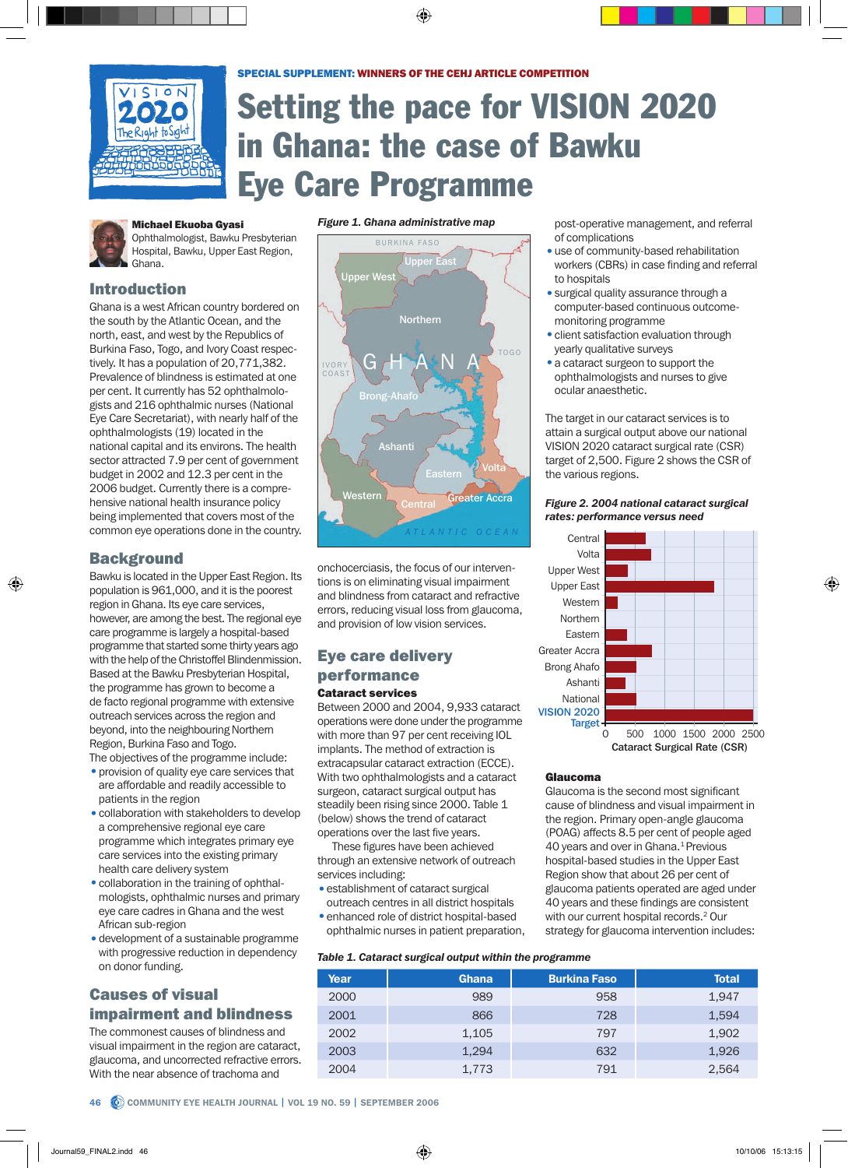

# Setting the pace for VISION 2020 in Ghana: the case of Bawku Eye Care Programme



#### **Michael Ekuoba Gyasi**

Ophthalmologist, Bawku Presbyterian Hospital, Bawku, Upper East Region, Ghana.

# Introduction

Ghana is a west African country bordered on the south by the Atlantic Ocean, and the north, east, and west by the Republics of Burkina Faso, Togo, and Ivory Coast respectively. It has a population of 20,771,382. Prevalence of blindness is estimated at one per cent. It currently has 52 ophthalmologists and 216 ophthalmic nurses (National Eye Care Secretariat), with nearly half of the ophthalmologists (19) located in the national capital and its environs. The health sector attracted 7.9 per cent of government budget in 2002 and 12.3 per cent in the 2006 budget. Currently there is a comprehensive national health insurance policy being implemented that covers most of the common eye operations done in the country.

# **Background**

Bawku is located in the Upper East Region. Its population is 961,000, and it is the poorest region in Ghana. Its eye care services, however, are among the best. The regional eye care programme is largely a hospital-based programme that started some thirty years ago with the help of the Christoffel Blindenmission. Based at the Bawku Presbyterian Hospital, the programme has grown to become a de facto regional programme with extensive outreach services across the region and beyond, into the neighbouring Northern Region, Burkina Faso and Togo. The objectives of the programme include:

• provision of quality eye care services that are affordable and readily accessible to patients in the region

- collaboration with stakeholders to develop a comprehensive regional eye care programme which integrates primary eye care services into the existing primary health care delivery system
- collaboration in the training of ophthalmologists, ophthalmic nurses and primary eye care cadres in Ghana and the west African sub-region
- development of a sustainable programme with progressive reduction in dependency on donor funding.

# **Causes of visual** impairment and blindness

The commonest causes of blindness and visual impairment in the region are cataract, glaucoma, and uncorrected refractive errors. With the near absence of trachoma and

*Figure 1. Ghana administrative map*



onchocerciasis, the focus of our interventions is on eliminating visual impairment and blindness from cataract and refractive errors, reducing visual loss from glaucoma, and provision of low vision services.

# Eye care delivery performance Cataract services

Between 2000 and 2004, 9,933 cataract operations were done under the programme with more than 97 per cent receiving IOL implants. The method of extraction is extracapsular cataract extraction (ECCE). With two ophthalmologists and a cataract surgeon, cataract surgical output has steadily been rising since 2000. Table 1 (below) shows the trend of cataract operations over the last five years.

These figures have been achieved through an extensive network of outreach services including:

- establishment of cataract surgical outreach centres in all district hospitals
- enhanced role of district hospital-based ophthalmic nurses in patient preparation,

| Table 1. Cataract surgical output within the programme |  |  |
|--------------------------------------------------------|--|--|
|--------------------------------------------------------|--|--|

| Year | <b>Ghana</b> | <b>Burkina Faso</b> | <b>Total</b> |
|------|--------------|---------------------|--------------|
| 2000 | 989          | 958                 | 1,947        |
| 2001 | 866          | 728                 | 1,594        |
| 2002 | 1,105        | 797                 | 1,902        |
| 2003 | 1,294        | 632                 | 1,926        |
| 2004 | 1,773        | 791                 | 2,564        |

post-operative management, and referral of complications

- use of community-based rehabilitation workers (CBRs) in case finding and referral to hospitals
- surgical quality assurance through a computer-based continuous outcomemonitoring programme
- client satisfaction evaluation through yearly qualitative surveys
- a cataract surgeon to support the ophthalmologists and nurses to give ocular anaesthetic.

The target in our cataract services is to attain a surgical output above our national VISION 2020 cataract surgical rate (CSR) target of 2,500. Figure 2 shows the CSR of the various regions.

## *Figure 2. 2004 national cataract surgical rates: performance versus need*



Glaucoma

Glaucoma is the second most significant cause of blindness and visual impairment in the region. Primary open-angle glaucoma (POAG) affects 8.5 per cent of people aged 40 years and over in Ghana.<sup>1</sup> Previous hospital-based studies in the Upper East Region show that about 26 per cent of glaucoma patients operated are aged under 40 years and these findings are consistent with our current hospital records.<sup>2</sup> Our strategy for glaucoma intervention includes: